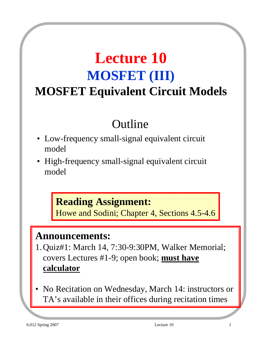# **Lecture 10 MOSFET (III) MOSFET Equivalent Circuit Models**

## Outline

- Low-frequency small-signal equivalent circuit model
- High-frequency small-signal equivalent circuit model

#### **Reading Assignment:**

Howe and Sodini; Chapter 4, Sections 4.5-4.6

#### **Announcements:**

- 1. Quiz#1: March 14, 7:30-9:30PM, Walker Memorial; covers Lectures #1-9; open book; **must have calculator**
- No Recitation on Wednesday, March 14: instructors or TA's available in their offices during recitation times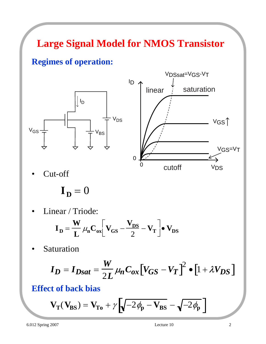## **Large Signal Model for NMOS Transistor**

#### **Regimes of operation:**





Cut-off

 $\mathbf{I}_{\mathbf{D}} = 0$ 

Linear / Triode:

$$
\mathbf{I}_{\mathbf{D}} = \frac{\mathbf{W}}{\mathbf{L}} \mu_{\mathbf{n}} \mathbf{C}_{\mathbf{ox}} \left[ \mathbf{V}_{\mathbf{GS}} - \frac{\mathbf{V}_{\mathbf{DS}}}{2} - \mathbf{V}_{\mathbf{T}} \right] \bullet \mathbf{V}_{\mathbf{DS}}
$$

**Saturation** 

$$
I_D = I_{Dsat} = \frac{W}{2L} \mu_n C_{ox} \left[ V_{GS} - V_T \right]^2 \bullet \left[ 1 + \lambda V_{DS} \right]
$$

#### **Effect of back bias**

$$
\mathbf{V}_{T}(\mathbf{V}_{BS}) = \mathbf{V}_{To} + \gamma \left[ \sqrt{-2\phi_{p} - \mathbf{V}_{BS}} - \sqrt{-2\phi_{p}} \right]
$$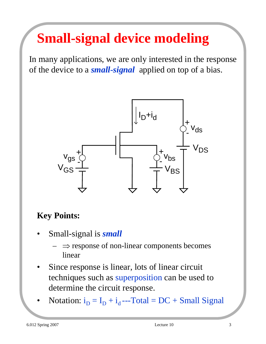# **Small-signal device modeling**

In many applications, we are only interested in the response of the device to a *small-signal* applied on top of a bias.



#### **Key Points:**

- Small-signal is *small*
	- $\Rightarrow$  response of non-linear components becomes linear
- Since response is linear, lots of linear circuit techniques such as superposition can be used to determine the circuit response.
- Notation:  $i_D = I_D + i_d$  ---Total = DC + Small Signal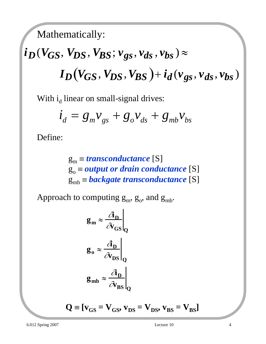Mathematically:

# $i_D(V_{GS}, V_{DS}, V_{BS}; v_{gs}, v_{ds}, v_{bs}) \approx$  $I_D(V_{GS}, V_{DS}, V_{BS}) + i_d(v_{gs}, v_{ds}, v_{bs})$

With  $i_d$  linear on small-signal drives:

$$
\dot{i}_d = g_m v_{gs} + g_o v_{ds} + g_{mb} v_{bs}
$$

Define:

 $g_m \equiv$  *transconductance* [S]  $g_0 \equiv$  *output or drain conductance* [S]  $g_{mb} \equiv \textit{backgrounductance}$  [S]

Approach to computing  $g_m$ ,  $g_o$ , and  $g_{mb}$ .

$$
g_{m} \approx \frac{\partial_{D}}{\partial v_{GS}}\Big|_{Q}
$$
  

$$
g_{o} \approx \frac{\partial_{D}}{\partial v_{DS}}\Big|_{Q}
$$
  

$$
g_{mb} \approx \frac{\partial_{D}}{\partial v_{BS}}\Big|_{Q}
$$
  

$$
Q \equiv [v_{GS} = V_{GS}, v_{DS} = V_{DS}, v_{BS} = V_{BS}]
$$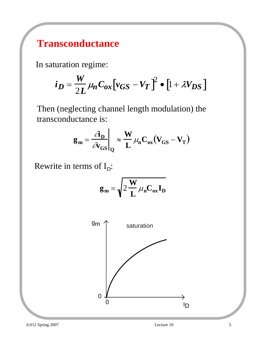#### **Transconductance**

In saturation regime:

$$
i_D = \frac{W}{2L} \mu_n C_{ox} \left[ v_{GS} - V_T \right]^2 \bullet \left[ 1 + \lambda V_{DS} \right]
$$

Then (neglecting channel length modulation) the transconductance is:

$$
\mathbf{g}_{m} = \frac{\partial_{\mathbf{D}}}{\partial v_{GS}}\bigg|_{Q} \approx \frac{W}{L} \mu_{n} C_{ox} (V_{GS} - V_{T})
$$

Rewrite in terms of  $I_D$ :

$$
\mathbf{g_m} = \sqrt{2\frac{\mathbf{W}}{\mathbf{L}}\mu_n \mathbf{C_{ox}} \mathbf{I}_D}
$$

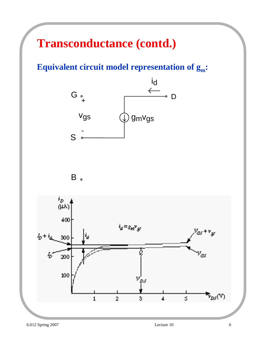## **Transconductance (contd.)**

**Equivalent circuit model representation of gm:**





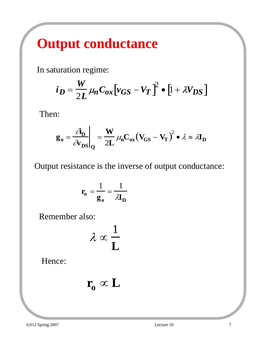# **Output conductance**

In saturation regime:

$$
i_D = \frac{W}{2L} \mu_n C_{ox} \left[ v_{GS} - V_T \right]^2 \bullet \left[ 1 + \lambda V_{DS} \right]
$$

Then:

$$
\mathbf{g}_o = \frac{\partial \mathbf{h}}{\partial \mathbf{v}_{DS}} \bigg|_{Q} = \frac{\mathbf{W}}{2L} \mu_n \mathbf{C}_{ox} (\mathbf{V}_{GS} - \mathbf{V}_T)^2 \bullet \lambda \approx \lambda \mathbf{I}_D
$$

Output resistance is the inverse of output conductance:

$$
\mathbf{r_o} = \frac{1}{\mathbf{g_o}} = \frac{1}{\lambda \mathbf{I_D}}
$$

Remember also:

$$
\lambda \propto \frac{1}{L}
$$

Hence:

$$
\mathbf{r_o} \propto \mathbf{L}
$$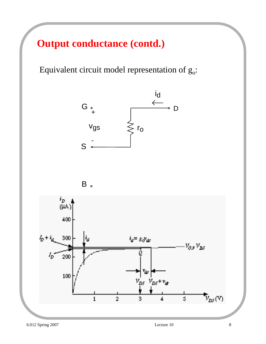#### **Output conductance (contd.)**

Equivalent circuit model representation of  $g_0$ :





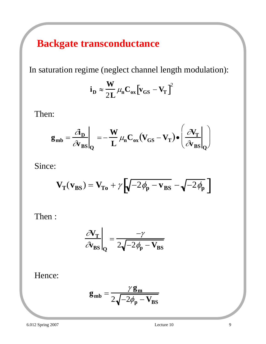### **Backgate transconductance**

In saturation regime (neglect channel length modulation):

$$
i_D \approx \frac{W}{2L} \mu_n C_{ox} \left[ v_{GS} - V_T \right]^2
$$

Then:

$$
\mathbf{g}_{mb} = \frac{\partial \mathbf{p}}{\partial \mathbf{v}_{BS}}\Big|_{Q} = -\frac{\mathbf{W}}{\mathbf{L}} \mu_{n} \mathbf{C}_{ox} (\mathbf{V}_{GS} - \mathbf{V}_{T}) \bullet \left(\frac{\partial \mathbf{V}_{T}}{\partial \mathbf{v}_{BS}}\Big|_{Q}\right)
$$

Since:

$$
\mathbf{V}_{\mathbf{T}}(\mathbf{v}_{BS}) = \mathbf{V}_{\mathbf{T}\mathbf{o}} + \gamma \left[ \sqrt{-2\phi_{\mathbf{p}} - \mathbf{v}_{BS}} - \sqrt{-2\phi_{\mathbf{p}}}\right]
$$

Then :

$$
\left. \frac{\partial \mathbf{V}_{\mathbf{T}}}{\partial \mathbf{v}_{\mathbf{BS}}} \right|_{\mathbf{Q}} = \frac{-\gamma}{2\sqrt{-2\phi_{\mathbf{p}} - \mathbf{V}_{\mathbf{BS}}}}
$$

Hence:

$$
\mathbf{g}_{\mathbf{mb}} = \frac{\gamma \mathbf{g}_{\mathbf{m}}}{2\sqrt{-2\phi_{\mathbf{p}} - \mathbf{V}_{\mathbf{BS}}}}
$$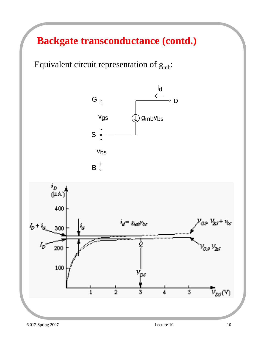**Backgate transconductance (contd.)**

Equivalent circuit representation of  $g_{mb}$ :



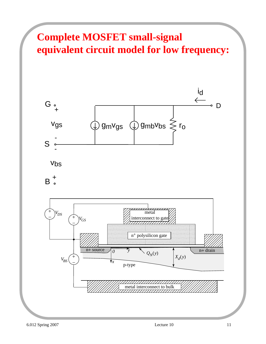## **Complete MOSFET small-signal equivalent circuit model for low frequency:**



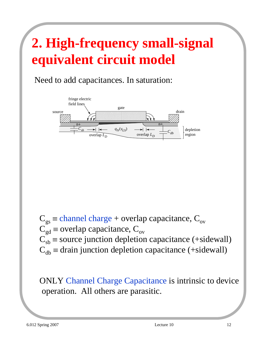# **2. High-frequency small-signal equivalent circuit model**

Need to add capacitances. In saturation:



 $C_{gs}$  = channel charge + overlap capacitance,  $C_{ov}$  $C_{gd}$  ≡ overlap capacitance,  $C_{ov}$  $\tilde{C}_{sb}$  = source junction depletion capacitance (+sidewall)  $C_{db}$  = drain junction depletion capacitance (+sidewall)

ONLY Channel Charge Capacitance is intrinsic to device operation. All others are parasitic.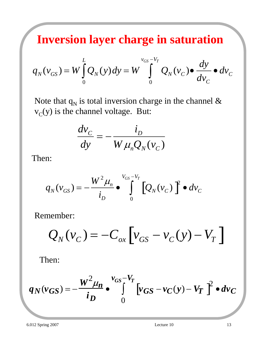**Inversion layer charge in saturation**

$$
q_N(v_{GS}) = W \int_0^L Q_N(y) dy = W \int_0^{v_{GS}-V_T} Q_N(v_C) \bullet \frac{dy}{dv_C} \bullet dv_C
$$

Note that  $q_N$  is total inversion charge in the channel &  $v<sub>C</sub>(y)$  is the channel voltage. But:

$$
\frac{dv_C}{dy} = -\frac{i_D}{W \mu_n Q_N(v_C)}
$$

Then:

$$
q_N(v_{GS}) = -\frac{W^2 \mu_n}{i_D} \bullet \int\limits_0^{v_{GS}-v_T} \left[ Q_N(v_C) \right]^2 \bullet dv_C
$$

Remember:

$$
Q_N(v_C) = -C_{ox} \left[ v_{GS} - v_C(y) - V_T \right]
$$

Then:

$$
q_N(v_{GS}) = -\frac{W^2 \mu_n}{i_D} \cdot \int_{0}^{v_{GS}-V_T} \left[v_{GS} - v_C(y) - V_T\right]^2 \cdot dv_C
$$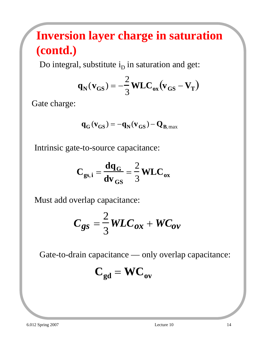## **Inversion layer charge in saturation (contd.)**

Do integral, substitute  $i<sub>D</sub>$  in saturation and get:

$$
\mathbf{q}_{N}(\mathbf{v}_{GS}) = -\frac{2}{3}\mathbf{WLC}_{ox}(\mathbf{v}_{GS} - \mathbf{V}_{T})
$$

Gate charge:

$$
q_G(v_{GS})=-q_N(v_{GS})-Q_{B,\max}
$$

Intrinsic gate-to-source capacitance:

$$
C_{gs,i} = \frac{dq_G}{dv_{GS}} = \frac{2}{3} WLC_{ox}
$$

Must add overlap capacitance:

$$
C_{gs} = \frac{2}{3} W LC_{ox} + W C_{ov}
$$

Gate-to-drain capacitance — only overlap capacitance:

$$
C_{gd} = WC_{ov}
$$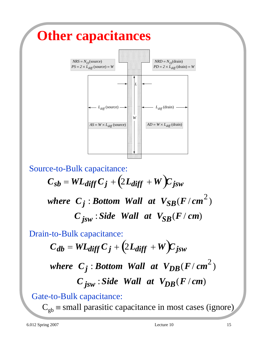

Source-to-Bulk capacitance:  $C_{Sb} = WL_{diff}C_j + (2L_{diff} + W)C_{jsw}$ where  $C_j$ : *Bottom Wall at*  $V_{SB}(F/cm^2)$  $C_{\text{isw}}$ : *Side Wall at*  $V_{SB}(F/cm)$ 

Drain-to-Bulk capacitance:

 $C_{db} = WL_{diff} C_j + (2L_{diff} + W)C_{jsw}$ where  $C_j$ : *Bottom Wall at*  $V_{DB}(F/cm^2)$  $C_{\text{isw}}$ : *Side Wall at*  $V_{DB}(F/cm)$ 

Gate-to-Bulk capacitance:

 $C<sub>gb</sub>$  = small parasitic capacitance in most cases (ignore)